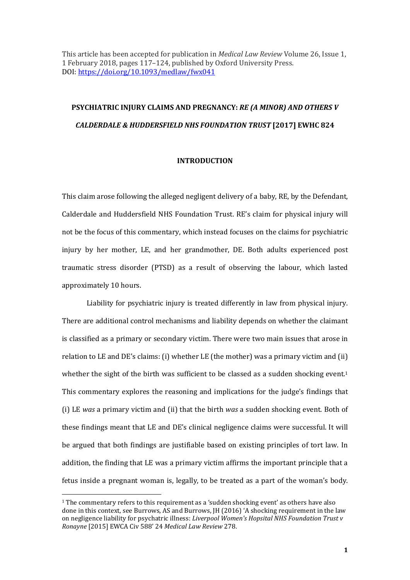This article has been accepted for publication in *Medical Law Review* Volume 26, Issue 1, 1 February 2018, pages 117–124, published by Oxford University Press. DOI: https://doi.org/10.1093/medlaw/fwx041

# **PSYCHIATRIC INJURY CLAIMS AND PREGNANCY:** *RE (A MINOR) AND OTHERS V CALDERDALE & HUDDERSFIELD NHS FOUNDATION TRUST* **[2017] EWHC 824**

### **INTRODUCTION**

This claim arose following the alleged negligent delivery of a baby, RE, by the Defendant, Calderdale and Huddersfield NHS Foundation Trust. RE's claim for physical injury will not be the focus of this commentary, which instead focuses on the claims for psychiatric injury by her mother, LE, and her grandmother, DE. Both adults experienced post traumatic stress disorder (PTSD) as a result of observing the labour, which lasted approximately 10 hours.

Liability for psychiatric injury is treated differently in law from physical injury. There are additional control mechanisms and liability depends on whether the claimant is classified as a primary or secondary victim. There were two main issues that arose in relation to LE and DE's claims: (i) whether LE (the mother) was a primary victim and (ii) whether the sight of the birth was sufficient to be classed as a sudden shocking event.<sup>1</sup> This commentary explores the reasoning and implications for the judge's findings that (i) LE *was* a primary victim and (ii) that the birth *was* a sudden shocking event. Both of these findings meant that LE and DE's clinical negligence claims were successful. It will be argued that both findings are justifiable based on existing principles of tort law. In addition, the finding that LE was a primary victim affirms the important principle that a fetus inside a pregnant woman is, legally, to be treated as a part of the woman's body.

<sup>&</sup>lt;sup>1</sup> The commentary refers to this requirement as a 'sudden shocking event' as others have also done in this context, see Burrows, AS and Burrows, JH (2016) 'A shocking requirement in the law on negligence liability for psychatric illness: *Liverpool Women's Hopsital NHS Foundation Trust v Ronayne* [2015] EWCA Civ 588' 24 *Medical Law Review* 278.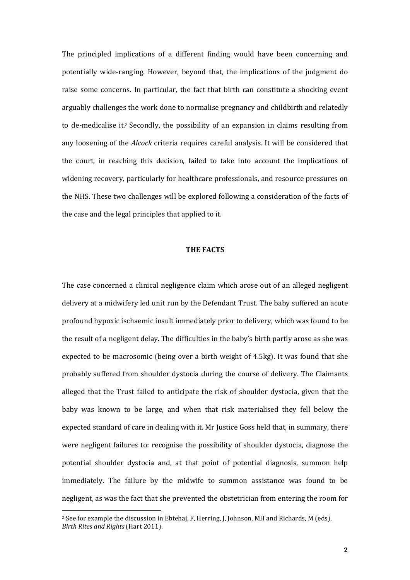The principled implications of a different finding would have been concerning and potentially wide-ranging. However, beyond that, the implications of the judgment do raise some concerns. In particular, the fact that birth can constitute a shocking event arguably challenges the work done to normalise pregnancy and childbirth and relatedly to de-medicalise it.2 Secondly, the possibility of an expansion in claims resulting from any loosening of the *Alcock* criteria requires careful analysis. It will be considered that the court, in reaching this decision, failed to take into account the implications of widening recovery, particularly for healthcare professionals, and resource pressures on the NHS. These two challenges will be explored following a consideration of the facts of the case and the legal principles that applied to it.

## **THE FACTS**

The case concerned a clinical negligence claim which arose out of an alleged negligent delivery at a midwifery led unit run by the Defendant Trust. The baby suffered an acute profound hypoxic ischaemic insult immediately prior to delivery, which was found to be the result of a negligent delay. The difficulties in the baby's birth partly arose as she was expected to be macrosomic (being over a birth weight of 4.5kg). It was found that she probably suffered from shoulder dystocia during the course of delivery. The Claimants alleged that the Trust failed to anticipate the risk of shoulder dystocia, given that the baby was known to be large, and when that risk materialised they fell below the expected standard of care in dealing with it. Mr Justice Goss held that, in summary, there were negligent failures to: recognise the possibility of shoulder dystocia, diagnose the potential shoulder dystocia and, at that point of potential diagnosis, summon help immediately. The failure by the midwife to summon assistance was found to be negligent, as was the fact that she prevented the obstetrician from entering the room for

<sup>&</sup>lt;sup>2</sup> See for example the discussion in Ebtehaj, F, Herring, J, Johnson, MH and Richards, M (eds), *Birth Rites and Rights* (Hart 2011).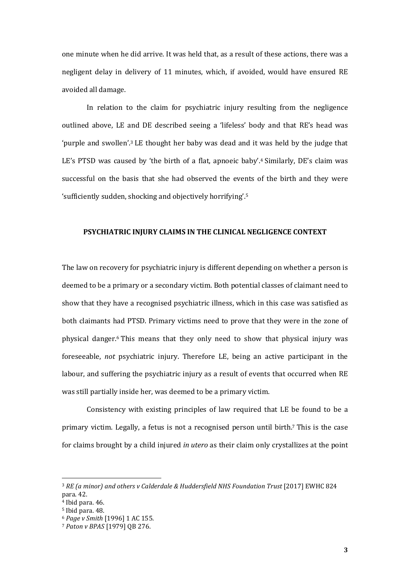one minute when he did arrive. It was held that, as a result of these actions, there was a negligent delay in delivery of 11 minutes, which, if avoided, would have ensured RE avoided all damage.

In relation to the claim for psychiatric injury resulting from the negligence outlined above, LE and DE described seeing a 'lifeless' body and that RE's head was 'purple and swollen'.3 LE thought her baby was dead and it was held by the judge that LE's PTSD was caused by 'the birth of a flat, apnoeic baby'.<sup>4</sup> Similarly, DE's claim was successful on the basis that she had observed the events of the birth and they were 'sufficiently sudden, shocking and objectively horrifying'.<sup>5</sup>

# **PSYCHIATRIC INJURY CLAIMS IN THE CLINICAL NEGLIGENCE CONTEXT**

The law on recovery for psychiatric injury is different depending on whether a person is deemed to be a primary or a secondary victim. Both potential classes of claimant need to show that they have a recognised psychiatric illness, which in this case was satisfied as both claimants had PTSD. Primary victims need to prove that they were in the zone of physical danger.6 This means that they only need to show that physical injury was foreseeable, *not* psychiatric injury. Therefore LE, being an active participant in the labour, and suffering the psychiatric injury as a result of events that occurred when RE was still partially inside her, was deemed to be a primary victim.

Consistency with existing principles of law required that LE be found to be a primary victim. Legally, a fetus is not a recognised person until birth.7 This is the case for claims brought by a child injured *in utero* as their claim only crystallizes at the point

<sup>&</sup>lt;sup>3</sup> *RE (a minor) and others v Calderdale & Huddersfield NHS Foundation Trust* [2017] EWHC 824 para. 42.

 $4$  Ibid para. 46.

<sup>5</sup> Ibid para. 48.

<sup>6</sup> *Page v Smith* [1996] 1 AC 155.

<sup>7</sup> *Paton v BPAS* [1979] QB 276.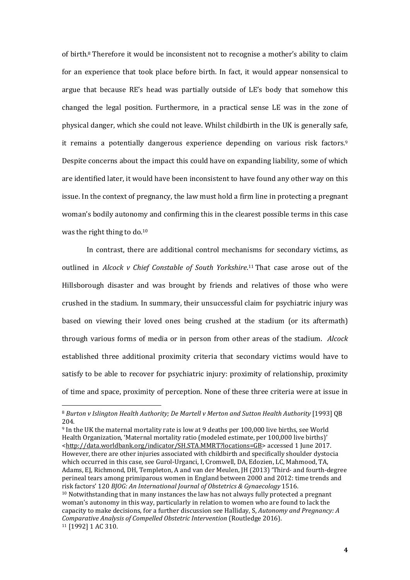of birth.8 Therefore it would be inconsistent not to recognise a mother's ability to claim for an experience that took place before birth. In fact, it would appear nonsensical to argue that because RE's head was partially outside of LE's body that somehow this changed the legal position. Furthermore, in a practical sense LE was in the zone of physical danger, which she could not leave. Whilst childbirth in the UK is generally safe, it remains a potentially dangerous experience depending on various risk factors.<sup>9</sup> Despite concerns about the impact this could have on expanding liability, some of which are identified later, it would have been inconsistent to have found any other way on this issue. In the context of pregnancy, the law must hold a firm line in protecting a pregnant woman's bodily autonomy and confirming this in the clearest possible terms in this case was the right thing to do.<sup>10</sup>

In contrast, there are additional control mechanisms for secondary victims, as outlined in *Alcock v Chief Constable of South Yorkshire*. <sup>11</sup> That case arose out of the Hillsborough disaster and was brought by friends and relatives of those who were crushed in the stadium. In summary, their unsuccessful claim for psychiatric injury was based on viewing their loved ones being crushed at the stadium (or its aftermath) through various forms of media or in person from other areas of the stadium. *Alcock* established three additional proximity criteria that secondary victims would have to satisfy to be able to recover for psychiatric injury: proximity of relationship, proximity of time and space, proximity of perception. None of these three criteria were at issue in

 $\overline{a}$ 

<sup>9</sup> In the UK the maternal mortality rate is low at 9 deaths per 100,000 live births, see World Health Organization, 'Maternal mortality ratio (modeled estimate, per 100,000 live births)' <http://data.worldbank.org/indicator/SH.STA.MMRT?locations=GB> accessed 1 June 2017. However, there are other injuries associated with childbirth and specifically shoulder dystocia which occurred in this case, see Gurol-Urganci, I, Cromwell, DA, Edozien, LC, Mahmood, TA, Adams, EJ, Richmond, DH, Templeton, A and van der Meulen, JH (2013) 'Third- and fourth-degree perineal tears among primiparous women in England between 2000 and 2012: time trends and risk factors' 120 *BJOG: An International Journal of Obstetrics & Gynaecology* 1516. <sup>10</sup> Notwithstanding that in many instances the law has not always fully protected a pregnant woman's autonomy in this way, particularly in relation to women who are found to lack the capacity to make decisions, for a further discussion see Halliday, S, *Autonomy and Pregnancy: A Comparative Analysis of Compelled Obstetric Intervention* (Routledge 2016). 11 [1992] 1 AC 310.

<sup>8</sup> *Burton v Islington Health Authority; De Martell v Merton and Sutton Health Authority* [1993] QB 204.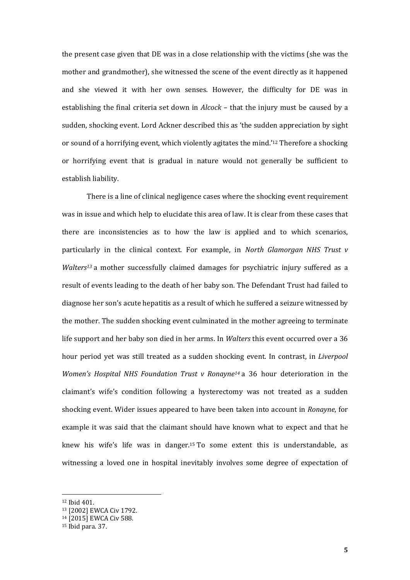the present case given that DE was in a close relationship with the victims (she was the mother and grandmother), she witnessed the scene of the event directly as it happened and she viewed it with her own senses. However, the difficulty for DE was in establishing the final criteria set down in *Alcock* – that the injury must be caused by a sudden, shocking event. Lord Ackner described this as 'the sudden appreciation by sight or sound of a horrifying event, which violently agitates the mind.'12 Therefore a shocking or horrifying event that is gradual in nature would not generally be sufficient to establish liability.

There is a line of clinical negligence cases where the shocking event requirement was in issue and which help to elucidate this area of law. It is clear from these cases that there are inconsistencies as to how the law is applied and to which scenarios, particularly in the clinical context. For example, in *North Glamorgan NHS Trust v Walters13* a mother successfully claimed damages for psychiatric injury suffered as a result of events leading to the death of her baby son. The Defendant Trust had failed to diagnose her son's acute hepatitis as a result of which he suffered a seizure witnessed by the mother. The sudden shocking event culminated in the mother agreeing to terminate life support and her baby son died in her arms. In *Walters* this event occurred over a 36 hour period yet was still treated as a sudden shocking event. In contrast, in *Liverpool Women's Hospital NHS Foundation Trust v Ronayne14* a 36 hour deterioration in the claimant's wife's condition following a hysterectomy was not treated as a sudden shocking event. Wider issues appeared to have been taken into account in *Ronayne*, for example it was said that the claimant should have known what to expect and that he knew his wife's life was in danger.15 To some extent this is understandable, as witnessing a loved one in hospital inevitably involves some degree of expectation of

<sup>12</sup> Ibid 401.

<sup>13</sup> [2002] EWCA Civ 1792.

<sup>14</sup> [2015] EWCA Civ 588.

 $15$  Ibid para. 37.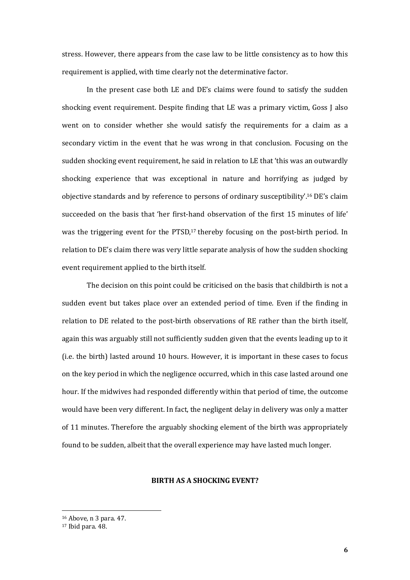stress. However, there appears from the case law to be little consistency as to how this requirement is applied, with time clearly not the determinative factor.

In the present case both LE and DE's claims were found to satisfy the sudden shocking event requirement. Despite finding that LE was a primary victim, Goss J also went on to consider whether she would satisfy the requirements for a claim as a secondary victim in the event that he was wrong in that conclusion. Focusing on the sudden shocking event requirement, he said in relation to LE that 'this was an outwardly shocking experience that was exceptional in nature and horrifying as judged by objective standards and by reference to persons of ordinary susceptibility'.16 DE's claim succeeded on the basis that 'her first-hand observation of the first 15 minutes of life' was the triggering event for the PTSD,<sup>17</sup> thereby focusing on the post-birth period. In relation to DE's claim there was very little separate analysis of how the sudden shocking event requirement applied to the birth itself.

The decision on this point could be criticised on the basis that childbirth is not a sudden event but takes place over an extended period of time. Even if the finding in relation to DE related to the post-birth observations of RE rather than the birth itself, again this was arguably still not sufficiently sudden given that the events leading up to it (i.e. the birth) lasted around 10 hours. However, it is important in these cases to focus on the key period in which the negligence occurred, which in this case lasted around one hour. If the midwives had responded differently within that period of time, the outcome would have been very different. In fact, the negligent delay in delivery was only a matter of 11 minutes. Therefore the arguably shocking element of the birth was appropriately found to be sudden, albeit that the overall experience may have lasted much longer.

# **BIRTH AS A SHOCKING EVENT?**

<sup>16</sup> Above, n 3 para. 47.

<sup>17</sup> Ibid para. 48.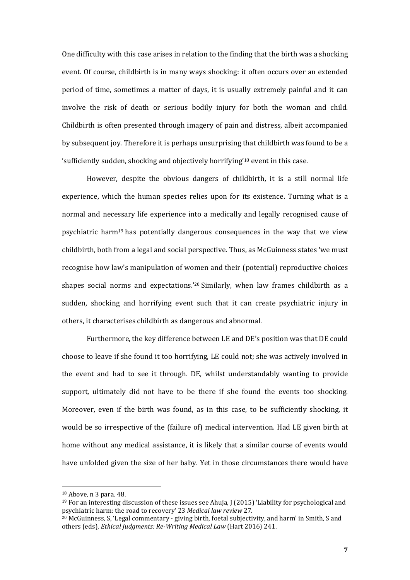One difficulty with this case arises in relation to the finding that the birth was a shocking event. Of course, childbirth is in many ways shocking: it often occurs over an extended period of time, sometimes a matter of days, it is usually extremely painful and it can involve the risk of death or serious bodily injury for both the woman and child. Childbirth is often presented through imagery of pain and distress, albeit accompanied by subsequent joy. Therefore it is perhaps unsurprising that childbirth was found to be a 'sufficiently sudden, shocking and objectively horrifying'18 event in this case.

However, despite the obvious dangers of childbirth, it is a still normal life experience, which the human species relies upon for its existence. Turning what is a normal and necessary life experience into a medically and legally recognised cause of psychiatric harm19 has potentially dangerous consequences in the way that we view childbirth, both from a legal and social perspective. Thus, as McGuinness states 'we must recognise how law's manipulation of women and their (potential) reproductive choices shapes social norms and expectations.'20 Similarly, when law frames childbirth as a sudden, shocking and horrifying event such that it can create psychiatric injury in others, it characterises childbirth as dangerous and abnormal.

Furthermore, the key difference between LE and DE's position was that DE could choose to leave if she found it too horrifying, LE could not; she was actively involved in the event and had to see it through. DE, whilst understandably wanting to provide support, ultimately did not have to be there if she found the events too shocking. Moreover, even if the birth was found, as in this case, to be sufficiently shocking, it would be so irrespective of the (failure of) medical intervention. Had LE given birth at home without any medical assistance, it is likely that a similar course of events would have unfolded given the size of her baby. Yet in those circumstances there would have

<sup>18</sup> Above, n 3 para. 48.

 $19$  For an interesting discussion of these issues see Ahuja, J (2015) 'Liability for psychological and psychiatric harm: the road to recovery' 23 *Medical law review* 27.

<sup>&</sup>lt;sup>20</sup> McGuinness, S, 'Legal commentary - giving birth, foetal subiectivity, and harm' in Smith. S and others (eds), *Ethical Judgments: Re-Writing Medical Law* (Hart 2016) 241.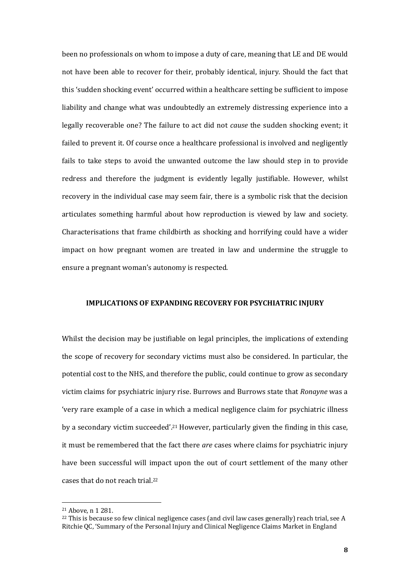been no professionals on whom to impose a duty of care, meaning that LE and DE would not have been able to recover for their, probably identical, injury. Should the fact that this 'sudden shocking event' occurred within a healthcare setting be sufficient to impose liability and change what was undoubtedly an extremely distressing experience into a legally recoverable one? The failure to act did not *cause* the sudden shocking event; it failed to prevent it. Of course once a healthcare professional is involved and negligently fails to take steps to avoid the unwanted outcome the law should step in to provide redress and therefore the judgment is evidently legally justifiable. However, whilst recovery in the individual case may seem fair, there is a symbolic risk that the decision articulates something harmful about how reproduction is viewed by law and society. Characterisations that frame childbirth as shocking and horrifying could have a wider impact on how pregnant women are treated in law and undermine the struggle to ensure a pregnant woman's autonomy is respected.

#### **IMPLICATIONS OF EXPANDING RECOVERY FOR PSYCHIATRIC INJURY**

Whilst the decision may be justifiable on legal principles, the implications of extending the scope of recovery for secondary victims must also be considered. In particular, the potential cost to the NHS, and therefore the public, could continue to grow as secondary victim claims for psychiatric injury rise. Burrows and Burrows state that *Ronayne* was a 'very rare example of a case in which a medical negligence claim for psychiatric illness by a secondary victim succeeded'.21 However, particularly given the finding in this case, it must be remembered that the fact there *are* cases where claims for psychiatric injury have been successful will impact upon the out of court settlement of the many other cases that do not reach trial 22

<sup>21</sup> Above, n 1 281.

 $22$  This is because so few clinical negligence cases (and civil law cases generally) reach trial, see A Ritchie QC, 'Summary of the Personal Injury and Clinical Negligence Claims Market in England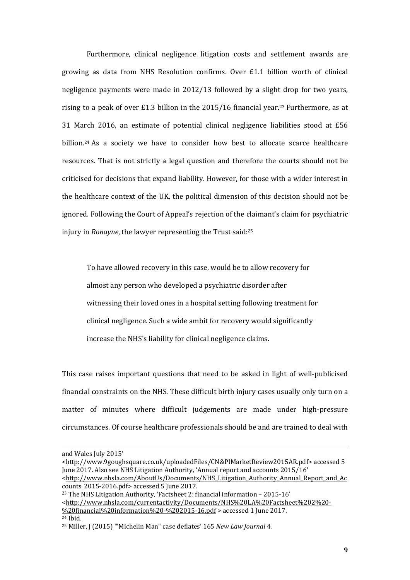Furthermore, clinical negligence litigation costs and settlement awards are growing as data from NHS Resolution confirms. Over £1.1 billion worth of clinical negligence payments were made in 2012/13 followed by a slight drop for two years, rising to a peak of over £1.3 billion in the  $2015/16$  financial year.<sup>23</sup> Furthermore, as at 31 March 2016, an estimate of potential clinical negligence liabilities stood at £56 billion.<sup>24</sup> As a society we have to consider how best to allocate scarce healthcare resources. That is not strictly a legal question and therefore the courts should not be criticised for decisions that expand liability. However, for those with a wider interest in the healthcare context of the UK, the political dimension of this decision should not be ignored. Following the Court of Appeal's rejection of the claimant's claim for psychiatric injury in *Ronayne*, the lawyer representing the Trust said:<sup>25</sup>

To have allowed recovery in this case, would be to allow recovery for almost any person who developed a psychiatric disorder after witnessing their loved ones in a hospital setting following treatment for clinical negligence. Such a wide ambit for recovery would significantly increase the NHS's liability for clinical negligence claims.

This case raises important questions that need to be asked in light of well-publicised financial constraints on the NHS. These difficult birth injury cases usually only turn on a matter of minutes where difficult judgements are made under high-pressure circumstances. Of course healthcare professionals should be and are trained to deal with

and Wales July 2015'

<sup>&</sup>lt;http://www.9goughsquare.co.uk/uploadedFiles/CN&PIMarketReview2015AR.pdf> accessed 5 June 2017. Also see NHS Litigation Authority, 'Annual report and accounts 2015/16'

<sup>&</sup>lt;http://www.nhsla.com/AboutUs/Documents/NHS\_Litigation\_Authority\_Annual\_Report\_and\_Ac counts\_2015-2016.pdf> accessed 5 June 2017.

<sup>23</sup> The NHS Litigation Authority, 'Factsheet 2: financial information – 2015-16'

<sup>&</sup>lt;http://www.nhsla.com/currentactivity/Documents/NHS%20LA%20Factsheet%202%20-

<sup>%20</sup>financial%20information%20-%202015-16.pdf > accessed 1 June 2017.

<sup>24</sup> Ibid.

<sup>25</sup> Miller, J (2015) '"Michelin Man" case deflates' 165 *New Law Journal* 4.